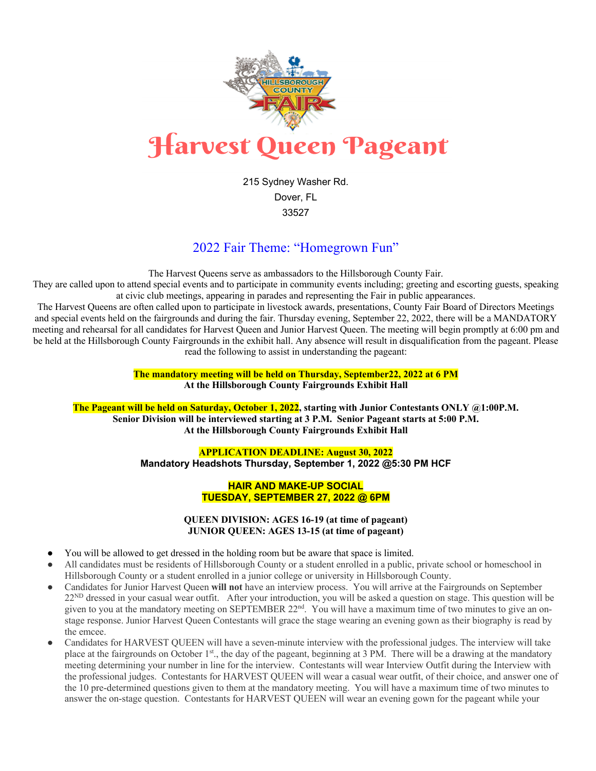

215 Sydney Washer Rd. Dover, FL 33527

## 2022 Fair Theme: "Homegrown Fun"

The Harvest Queens serve as ambassadors to the Hillsborough County Fair.

They are called upon to attend special events and to participate in community events including; greeting and escorting guests, speaking at civic club meetings, appearing in parades and representing the Fair in public appearances.

The Harvest Queens are often called upon to participate in livestock awards, presentations, County Fair Board of Directors Meetings and special events held on the fairgrounds and during the fair. Thursday evening, September 22, 2022, there will be a MANDATORY meeting and rehearsal for all candidates for Harvest Queen and Junior Harvest Queen. The meeting will begin promptly at 6:00 pm and be held at the Hillsborough County Fairgrounds in the exhibit hall. Any absence will result in disqualification from the pageant. Please read the following to assist in understanding the pageant:

> **The mandatory meeting will be held on Thursday, September22, 2022 at 6 PM At the Hillsborough County Fairgrounds Exhibit Hall**

**The Pageant will be held on Saturday, October 1, 2022, starting with Junior Contestants ONLY @1:00P.M. Senior Division will be interviewed starting at 3 P.M. Senior Pageant starts at 5:00 P.M. At the Hillsborough County Fairgrounds Exhibit Hall**

## **APPLICATION DEADLINE: August 30, 2022 Mandatory Headshots Thursday, September 1, 2022 @5:30 PM HCF**

## **HAIR AND MAKE-UP SOCIAL TUESDAY, SEPTEMBER 27, 2022 @ 6PM**

**QUEEN DIVISION: AGES 16-19 (at time of pageant) JUNIOR QUEEN: AGES 13-15 (at time of pageant)**

- You will be allowed to get dressed in the holding room but be aware that space is limited.
- All candidates must be residents of Hillsborough County or a student enrolled in a public, private school or homeschool in Hillsborough County or a student enrolled in a junior college or university in Hillsborough County.
- Candidates for Junior Harvest Queen **will not** have an interview process. You will arrive at the Fairgrounds on September 22<sup>ND</sup> dressed in your casual wear outfit. After your introduction, you will be asked a question on stage. This question will be given to you at the mandatory meeting on SEPTEMBER 22<sup>nd</sup>. You will have a maximum time of two minutes to give an onstage response. Junior Harvest Queen Contestants will grace the stage wearing an evening gown as their biography is read by the emcee.
- Candidates for HARVEST QUEEN will have a seven-minute interview with the professional judges. The interview will take place at the fairgrounds on October 1st., the day of the pageant, beginning at 3 PM. There will be a drawing at the mandatory meeting determining your number in line for the interview. Contestants will wear Interview Outfit during the Interview with the professional judges. Contestants for HARVEST QUEEN will wear a casual wear outfit, of their choice, and answer one of the 10 pre-determined questions given to them at the mandatory meeting. You will have a maximum time of two minutes to answer the on-stage question. Contestants for HARVEST QUEEN will wear an evening gown for the pageant while your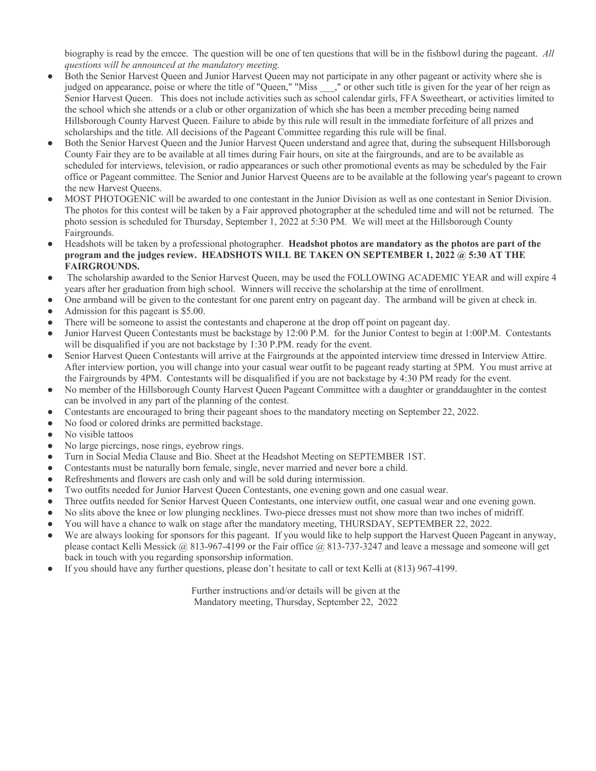biography is read by the emcee. The question will be one of ten questions that will be in the fishbowl during the pageant. *All questions will be announced at the mandatory meeting.*

- Both the Senior Harvest Queen and Junior Harvest Queen may not participate in any other pageant or activity where she is judged on appearance, poise or where the title of "Queen," "Miss \_\_\_," or other such title is given for the year of her reign as Senior Harvest Queen. This does not include activities such as school calendar girls, FFA Sweetheart, or activities limited to the school which she attends or a club or other organization of which she has been a member preceding being named Hillsborough County Harvest Queen. Failure to abide by this rule will result in the immediate forfeiture of all prizes and scholarships and the title. All decisions of the Pageant Committee regarding this rule will be final.
- Both the Senior Harvest Queen and the Junior Harvest Queen understand and agree that, during the subsequent Hillsborough County Fair they are to be available at all times during Fair hours, on site at the fairgrounds, and are to be available as scheduled for interviews, television, or radio appearances or such other promotional events as may be scheduled by the Fair office or Pageant committee. The Senior and Junior Harvest Queens are to be available at the following year's pageant to crown the new Harvest Queens.
- MOST PHOTOGENIC will be awarded to one contestant in the Junior Division as well as one contestant in Senior Division. The photos for this contest will be taken by a Fair approved photographer at the scheduled time and will not be returned. The photo session is scheduled for Thursday, September 1, 2022 at 5:30 PM. We will meet at the Hillsborough County Fairgrounds.
- Headshots will be taken by a professional photographer. **Headshot photos are mandatory as the photos are part of the program and the judges review. HEADSHOTS WILL BE TAKEN ON SEPTEMBER 1, 2022 @ 5:30 AT THE FAIRGROUNDS.**
- The scholarship awarded to the Senior Harvest Queen, may be used the FOLLOWING ACADEMIC YEAR and will expire 4 years after her graduation from high school. Winners will receive the scholarship at the time of enrollment.
- One armband will be given to the contestant for one parent entry on pageant day. The armband will be given at check in.
- Admission for this pageant is \$5.00.
- There will be someone to assist the contestants and chaperone at the drop off point on pageant day.
- Junior Harvest Queen Contestants must be backstage by 12:00 P.M. for the Junior Contest to begin at 1:00P.M. Contestants will be disqualified if you are not backstage by 1:30 P.PM. ready for the event.
- Senior Harvest Queen Contestants will arrive at the Fairgrounds at the appointed interview time dressed in Interview Attire. After interview portion, you will change into your casual wear outfit to be pageant ready starting at 5PM. You must arrive at the Fairgrounds by 4PM. Contestants will be disqualified if you are not backstage by 4:30 PM ready for the event.
- No member of the Hillsborough County Harvest Queen Pageant Committee with a daughter or granddaughter in the contest can be involved in any part of the planning of the contest.
- Contestants are encouraged to bring their pageant shoes to the mandatory meeting on September 22, 2022.
- No food or colored drinks are permitted backstage.
- No visible tattoos
- No large piercings, nose rings, eyebrow rings.
- Turn in Social Media Clause and Bio. Sheet at the Headshot Meeting on SEPTEMBER 1ST.
- Contestants must be naturally born female, single, never married and never bore a child.
- Refreshments and flowers are cash only and will be sold during intermission.
- Two outfits needed for Junior Harvest Queen Contestants, one evening gown and one casual wear.
- Three outfits needed for Senior Harvest Queen Contestants, one interview outfit, one casual wear and one evening gown.
- No slits above the knee or low plunging necklines. Two-piece dresses must not show more than two inches of midriff.
- You will have a chance to walk on stage after the mandatory meeting, THURSDAY, SEPTEMBER 22, 2022.
- We are always looking for sponsors for this pageant. If you would like to help support the Harvest Queen Pageant in anyway, please contact Kelli Messick @ 813-967-4199 or the Fair office @ 813-737-3247 and leave a message and someone will get back in touch with you regarding sponsorship information.
- If you should have any further questions, please don't hesitate to call or text Kelli at (813) 967-4199.

Further instructions and/or details will be given at the Mandatory meeting, Thursday, September 22, 2022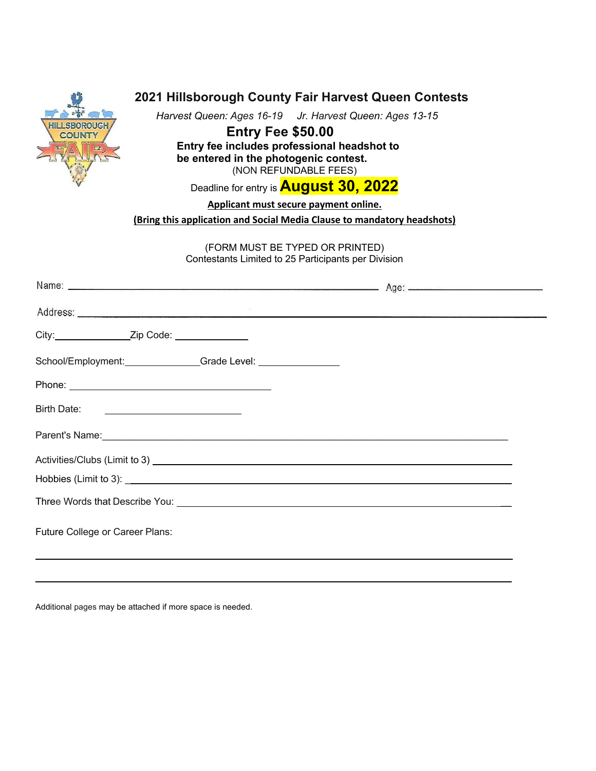| 2021 Hillsborough County Fair Harvest Queen Contests<br>Harvest Queen: Ages 16-19 Jr. Harvest Queen: Ages 13-15<br><b>Entry Fee \$50.00</b><br>Entry fee includes professional headshot to<br>be entered in the photogenic contest.<br>(NON REFUNDABLE FEES)<br>Deadline for entry is <b>August 30, 2022</b><br>Applicant must secure payment online.<br>(Bring this application and Social Media Clause to mandatory headshots)<br>(FORM MUST BE TYPED OR PRINTED)<br>Contestants Limited to 25 Participants per Division |  |
|----------------------------------------------------------------------------------------------------------------------------------------------------------------------------------------------------------------------------------------------------------------------------------------------------------------------------------------------------------------------------------------------------------------------------------------------------------------------------------------------------------------------------|--|
|                                                                                                                                                                                                                                                                                                                                                                                                                                                                                                                            |  |
|                                                                                                                                                                                                                                                                                                                                                                                                                                                                                                                            |  |
|                                                                                                                                                                                                                                                                                                                                                                                                                                                                                                                            |  |
| School/Employment: Grade Level: Canadian Control of Credit Control of Credit Control of Credit Control of Credit Control of Credit Control of Credit Control of Credit Control of Credit Control of Credit Control of Credit C                                                                                                                                                                                                                                                                                             |  |
|                                                                                                                                                                                                                                                                                                                                                                                                                                                                                                                            |  |
| Birth Date:                                                                                                                                                                                                                                                                                                                                                                                                                                                                                                                |  |
| Parent's Name: experience and a series of the series of the series of the series of the series of the series of the series of the series of the series of the series of the series of the series of the series of the series o                                                                                                                                                                                                                                                                                             |  |
| Activities/Clubs (Limit to 3)<br><u>Limit to 3</u>                                                                                                                                                                                                                                                                                                                                                                                                                                                                         |  |
|                                                                                                                                                                                                                                                                                                                                                                                                                                                                                                                            |  |
|                                                                                                                                                                                                                                                                                                                                                                                                                                                                                                                            |  |
| Future College or Career Plans:                                                                                                                                                                                                                                                                                                                                                                                                                                                                                            |  |

 $\mathcal{L}_\mathcal{L} = \mathcal{L}_\mathcal{L} = \mathcal{L}_\mathcal{L} = \mathcal{L}_\mathcal{L} = \mathcal{L}_\mathcal{L} = \mathcal{L}_\mathcal{L} = \mathcal{L}_\mathcal{L} = \mathcal{L}_\mathcal{L} = \mathcal{L}_\mathcal{L} = \mathcal{L}_\mathcal{L} = \mathcal{L}_\mathcal{L} = \mathcal{L}_\mathcal{L} = \mathcal{L}_\mathcal{L} = \mathcal{L}_\mathcal{L} = \mathcal{L}_\mathcal{L} = \mathcal{L}_\mathcal{L} = \mathcal{L}_\mathcal{L}$ 

Additional pages may be attached if more space is needed.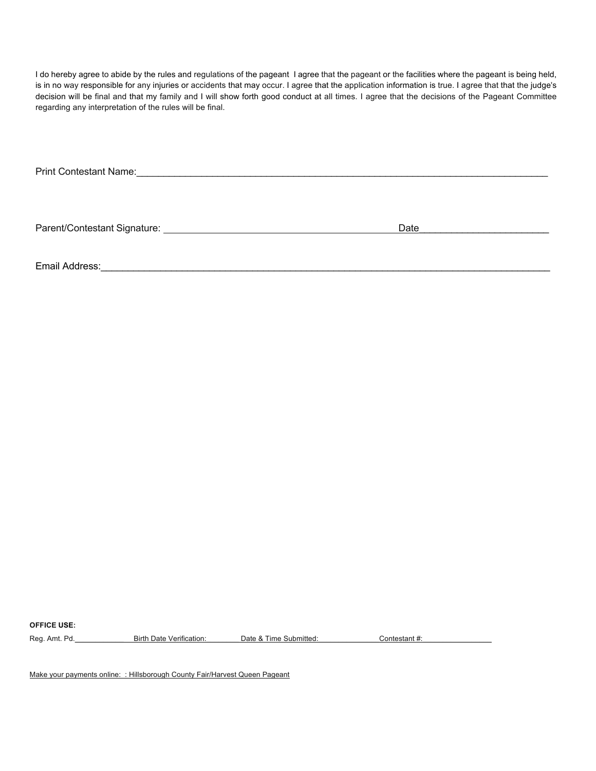I do hereby agree to abide by the rules and regulations of the pageant I agree that the pageant or the facilities where the pageant is being held, is in no way responsible for any injuries or accidents that may occur. I agree that the application information is true. I agree that that the judge's decision will be final and that my family and I will show forth good conduct at all times. I agree that the decisions of the Pageant Committee regarding any interpretation of the rules will be final.

Print Contestant Name:\_\_\_\_\_\_\_\_\_\_\_\_\_\_\_\_\_\_\_\_\_\_\_\_\_\_\_\_\_\_\_\_\_\_\_\_\_\_\_\_\_\_\_\_\_\_\_\_\_\_\_\_\_\_\_\_\_\_\_\_\_\_\_\_\_\_\_\_\_\_\_\_\_\_\_\_

Parent/Contestant Signature: Date\_\_\_\_\_\_\_\_\_\_\_\_\_\_\_\_\_\_\_\_\_\_\_\_

Email Address: with a strategies of the strategies of the strategies of the strategies of the strategies of the strategies of the strategies of the strategies of the strategies of the strategies of the strategies of the st

**OFFICE USE:**

Reg. Amt. Pd.\_\_\_\_\_\_\_\_\_\_\_\_ Birth Date Verification:\_\_\_\_\_\_\_\_ Date & Time Submitted:\_\_\_\_\_\_\_\_\_\_\_\_\_\_\_Contestant #:\_\_\_\_\_\_\_\_\_\_\_\_\_\_\_\_\_

Make your payments online: : Hillsborough County Fair/Harvest Queen Pageant